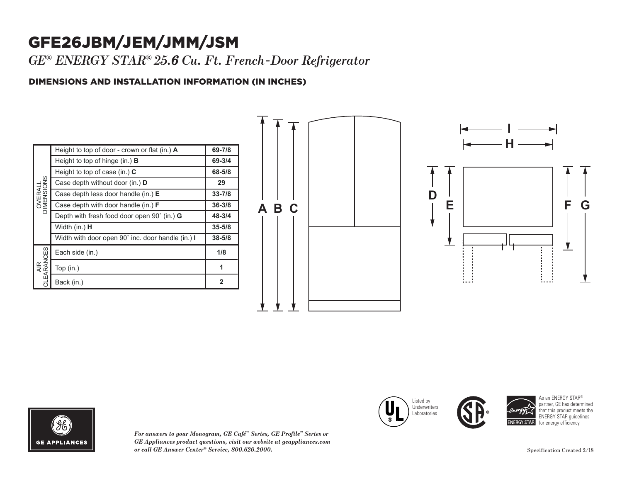## GFE26JBM/JEM/JMM/JSM

*GE ® ENERGY STAR® 25.6 Cu. Ft. French-Door Refrigerator*

## DIMENSIONS AND INSTALLATION INFORMATION (IN INCHES)

| OVERALL<br>DIMENSIONS           | Height to top of door - crown or flat (in.) A     | 69-7/8       |
|---------------------------------|---------------------------------------------------|--------------|
|                                 | Height to top of hinge $(in.)$ <b>B</b>           | 69-3/4       |
|                                 | Height to top of case (in.) $C$                   | 68-5/8       |
|                                 | Case depth without door (in.) D                   | 29           |
|                                 | Case depth less door handle (in.) E               | $33 - 7/8$   |
|                                 | Case depth with door handle (in.) <b>F</b>        | $36 - 3/8$   |
|                                 | Depth with fresh food door open 90° (in.) G       | 48-3/4       |
|                                 | Width (in.) <b>H</b>                              | $35 - 5/8$   |
|                                 | Width with door open 90° inc. door handle (in.) I | $38 - 5/8$   |
| <b>CLEARANCES</b><br><b>AIR</b> | Each side (in.)                                   | 1/8          |
|                                 | Top $(in.)$                                       | 1            |
|                                 | Back (in.)                                        | $\mathbf{2}$ |







*For answers to your Monogram, GE Café™ Series, GE Profile™ Series or GE Appliances product questions, visit our website at geappliances.com or call GE Answer Center® Service, 800.626.2000.* Specification Created 2/18